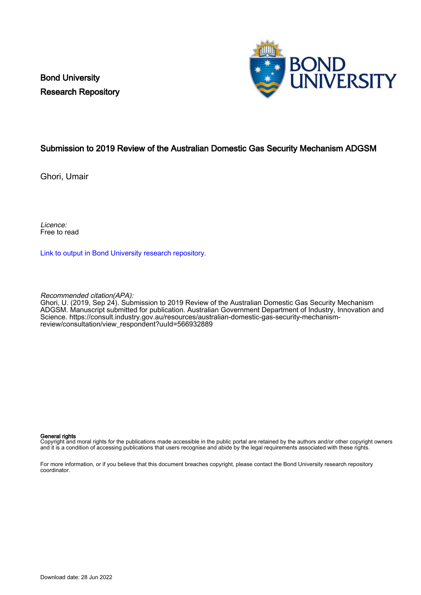Bond University Research Repository



# Submission to 2019 Review of the Australian Domestic Gas Security Mechanism ADGSM

Ghori, Umair

Licence: Free to read

[Link to output in Bond University research repository.](https://research.bond.edu.au/en/publications/8a0dfe34-17fa-4337-beff-664ec6980087)

Recommended citation(APA):

Ghori, U. (2019, Sep 24). Submission to 2019 Review of the Australian Domestic Gas Security Mechanism ADGSM. Manuscript submitted for publication. Australian Government Department of Industry, Innovation and Science. [https://consult.industry.gov.au/resources/australian-domestic-gas-security-mechanism](https://consult.industry.gov.au/resources/australian-domestic-gas-security-mechanism-review/consultation/view_respondent?uuId=566932889)[review/consultation/view\\_respondent?uuId=566932889](https://consult.industry.gov.au/resources/australian-domestic-gas-security-mechanism-review/consultation/view_respondent?uuId=566932889)

#### General rights

Copyright and moral rights for the publications made accessible in the public portal are retained by the authors and/or other copyright owners and it is a condition of accessing publications that users recognise and abide by the legal requirements associated with these rights.

For more information, or if you believe that this document breaches copyright, please contact the Bond University research repository coordinator.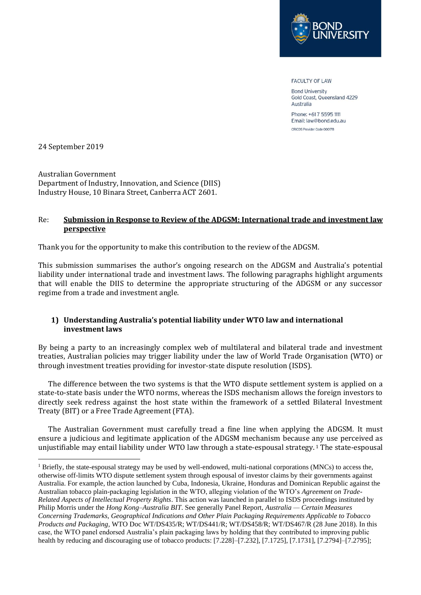

**FACULTY OF LAW** 

**Bond University** Gold Coast, Queensland 4229 Australia

Phone: +617 5595 1111 Email: law@bond.edu.au CRICOS Provider Code 00017B

24 September 2019

Australian Government Department of Industry, Innovation, and Science (DIIS) Industry House, 10 Binara Street, Canberra ACT 2601.

### Re: **Submission in Response to Review of the ADGSM: International trade and investment law perspective**

Thank you for the opportunity to make this contribution to the review of the ADGSM.

This submission summarises the author's ongoing research on the ADGSM and Australia's potential liability under international trade and investment laws. The following paragraphs highlight arguments that will enable the DIIS to determine the appropriate structuring of the ADGSM or any successor regime from a trade and investment angle.

# **1) Understanding Australia's potential liability under WTO law and international investment laws**

By being a party to an increasingly complex web of multilateral and bilateral trade and investment treaties, Australian policies may trigger liability under the law of World Trade Organisation (WTO) or through investment treaties providing for investor-state dispute resolution (ISDS).

The difference between the two systems is that the WTO dispute settlement system is applied on a state-to-state basis under the WTO norms, whereas the ISDS mechanism allows the foreign investors to directly seek redress against the host state within the framework of a settled Bilateral Investment Treaty (BIT) or a Free Trade Agreement (FTA).

The Australian Government must carefully tread a fine line when applying the ADGSM. It must ensure a judicious and legitimate application of the ADGSM mechanism because any use perceived as unjustifiable may entail liability under WTO law through a state-espousal strategy. <sup>1</sup> The state-espousal

<sup>&</sup>lt;sup>1</sup> Briefly, the state-espousal strategy may be used by well-endowed, multi-national corporations (MNCs) to access the, otherwise off-limits WTO dispute settlement system through espousal of investor claims by their governments against Australia. For example, the action launched by Cuba, Indonesia, Ukraine, Honduras and Dominican Republic against the Australian tobacco plain-packaging legislation in the WTO, alleging violation of the WTO's *Agreement on Trade-Related Aspects of Intellectual Property Rights*. This action was launched in parallel to ISDS proceedings instituted by Philip Morris under the *Hong Kong–Australia BIT*. See generally Panel Report, *Australia — Certain Measures Concerning Trademarks, Geographical Indications and Other Plain Packaging Requirements Applicable to Tobacco Products and Packaging*, WTO Doc WT/DS435/R; WT/DS441/R; WT/DS458/R; WT/DS467/R (28 June 2018). In this case, the WTO panel endorsed Australia's plain packaging laws by holding that they contributed to improving public health by reducing and discouraging use of tobacco products: [7.228]–[7.232], [7.1725], [7.1731], [7.2794]–[7.2795];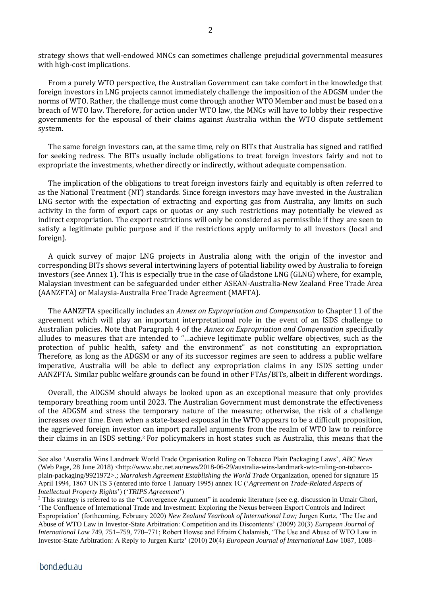strategy shows that well-endowed MNCs can sometimes challenge prejudicial governmental measures with high-cost implications.

From a purely WTO perspective, the Australian Government can take comfort in the knowledge that foreign investors in LNG projects cannot immediately challenge the imposition of the ADGSM under the norms of WTO. Rather, the challenge must come through another WTO Member and must be based on a breach of WTO law. Therefore, for action under WTO law, the MNCs will have to lobby their respective governments for the espousal of their claims against Australia within the WTO dispute settlement system.

The same foreign investors can, at the same time, rely on BITs that Australia has signed and ratified for seeking redress. The BITs usually include obligations to treat foreign investors fairly and not to expropriate the investments, whether directly or indirectly, without adequate compensation.

The implication of the obligations to treat foreign investors fairly and equitably is often referred to as the National Treatment (NT) standards. Since foreign investors may have invested in the Australian LNG sector with the expectation of extracting and exporting gas from Australia, any limits on such activity in the form of export caps or quotas or any such restrictions may potentially be viewed as indirect expropriation. The export restrictions will only be considered as permissible if they are seen to satisfy a legitimate public purpose and if the restrictions apply uniformly to all investors (local and foreign).

A quick survey of major LNG projects in Australia along with the origin of the investor and corresponding BITs shows several intertwining layers of potential liability owed by Australia to foreign investors (see Annex 1). This is especially true in the case of Gladstone LNG (GLNG) where, for example, Malaysian investment can be safeguarded under either ASEAN-Australia-New Zealand Free Trade Area (AANZFTA) or Malaysia-Australia Free Trade Agreement (MAFTA).

The AANZFTA specifically includes an *Annex on Expropriation and Compensation* to Chapter 11 of the agreement which will play an important interpretational role in the event of an ISDS challenge to Australian policies. Note that Paragraph 4 of the *Annex on Expropriation and Compensation* specifically alludes to measures that are intended to "…achieve legitimate public welfare objectives, such as the protection of public health, safety and the environment" as not constituting an expropriation. Therefore, as long as the ADGSM or any of its successor regimes are seen to address a public welfare imperative, Australia will be able to deflect any expropriation claims in any ISDS setting under AANZFTA. Similar public welfare grounds can be found in other FTAs/BITs, albeit in different wordings.

Overall, the ADGSM should always be looked upon as an exceptional measure that only provides temporary breathing room until 2023. The Australian Government must demonstrate the effectiveness of the ADGSM and stress the temporary nature of the measure; otherwise, the risk of a challenge increases over time. Even when a state-based espousal in the WTO appears to be a difficult proposition, the aggrieved foreign investor can import parallel arguments from the realm of WTO law to reinforce their claims in an ISDS setting. <sup>2</sup> For policymakers in host states such as Australia, this means that the

See also 'Australia Wins Landmark World Trade Organisation Ruling on Tobacco Plain Packaging Laws', *ABC News* (Web Page, 28 June 2018) <http://www.abc.net.au/news/2018-06-29/australia-wins-landmark-wto-ruling-on-tobaccoplain-packaging/9921972>.; *Marrakesh Agreement Establishing the World Trade* Organization, opened for signature 15 April 1994, 1867 UNTS 3 (entered into force 1 January 1995) annex 1C ('*Agreement on Trade-Related Aspects of Intellectual Property Rights*') ('*TRIPS Agreement*')

<sup>&</sup>lt;sup>2</sup> This strategy is referred to as the "Convergence Argument" in academic literature (see e.g. discussion in Umair Ghori, 'The Confluence of International Trade and Investment: Exploring the Nexus between Export Controls and Indirect Expropriation' (forthcoming, February 2020) *New Zealand Yearbook of International Law;* Jurgen Kurtz, 'The Use and Abuse of WTO Law in Investor-State Arbitration: Competition and its Discontents' (2009) 20(3) *European Journal of International Law* 749, 751–759, 770–771; Robert Howse and Efraim Chalamish, 'The Use and Abuse of WTO Law in Investor-State Arbitration: A Reply to Jurgen Kurtz' (2010) 20(4) *European Journal of International Law* 1087, 1088–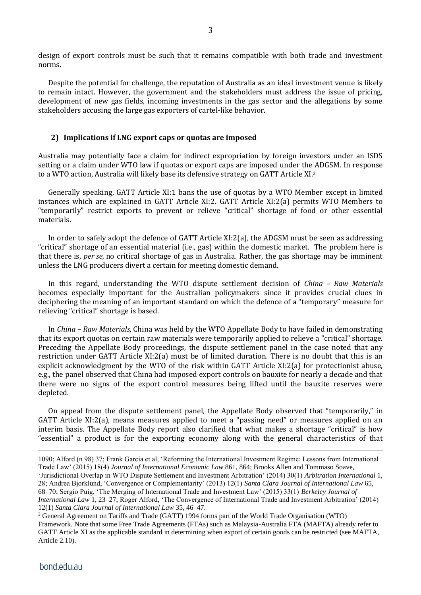design of export controls must be such that it remains compatible with both trade and investment norms.

Despite the potential for challenge, the reputation of Australia as an ideal investment venue is likely to remain intact. However, the government and the stakeholders must address the issue of pricing, development of new gas fields, incoming investments in the gas sector and the allegations by some stakeholders accusing the large gas exporters of cartel-like behavior.

#### **2) Implications if LNG export caps or quotas are imposed**

Australia may potentially face a claim for indirect expropriation by foreign investors under an ISDS setting or a claim under WTO law if quotas or export caps are imposed under the ADGSM. In response to a WTO action, Australia will likely base its defensive strategy on GATT Article XI.<sup>3</sup>

Generally speaking, GATT Article XI:1 bans the use of quotas by a WTO Member except in limited instances which are explained in GATT Article XI:2. GATT Article XI:2(a) permits WTO Members to "temporarily" restrict exports to prevent or relieve "critical" shortage of food or other essential materials.

In order to safely adopt the defence of GATT Article XI:2(a), the ADGSM must be seen as addressing "critical" shortage of an essential material (i.e., gas) within the domestic market. The problem here is that there is, *per se,* no critical shortage of gas in Australia. Rather, the gas shortage may be imminent unless the LNG producers divert a certain for meeting domestic demand.

In this regard, understanding the WTO dispute settlement decision of *China – Raw Materials* becomes especially important for the Australian policymakers since it provides crucial clues in deciphering the meaning of an important standard on which the defence of a "temporary" measure for relieving "critical" shortage is based.

In *China – Raw Materials,* China was held by the WTO Appellate Body to have failed in demonstrating that its export quotas on certain raw materials were temporarily applied to relieve a "critical" shortage. Preceding the Appellate Body proceedings, the dispute settlement panel in the case noted that any restriction under GATT Article XI:2(a) must be of limited duration. There is no doubt that this is an explicit acknowledgment by the WTO of the risk within GATT Article XI:2(a) for protectionist abuse, e.g., the panel observed that China had imposed export controls on bauxite for nearly a decade and that there were no signs of the export control measures being lifted until the bauxite reserves were depleted.

On appeal from the dispute settlement panel, the Appellate Body observed that "temporarily," in GATT Article XI:2(a), means measures applied to meet a "passing need" or measures applied on an interim basis. The Appellate Body report also clarified that what makes a shortage "critical" is how "essential" a product is for the exporting economy along with the general characteristics of that

<sup>1090;</sup> Alford (n 98) 37; Frank Garcia et al, 'Reforming the International Investment Regime: Lessons from International Trade Law' (2015) 18(4) *Journal of International Economic Law* 861, 864; Brooks Allen and Tommaso Soave,

<sup>&#</sup>x27;Jurisdictional Overlap in WTO Dispute Settlement and Investment Arbitration' (2014) 30(1) *Arbitration International* 1, 28; Andrea Bjorklund, 'Convergence or Complementarity' (2013) 12(1) *Santa Clara Journal of International Law* 65, 68–70; Sergio Puig, 'The Merging of International Trade and Investment Law' (2015) 33(1) *Berkeley Journal of International Law* 1, 23–27; Roger Alford, 'The Convergence of International Trade and Investment Arbitration' (2014) 12(1) *Santa Clara Journal of International Law* 35, 46–47.

<sup>3</sup> General Agreement on Tariffs and Trade (GATT) 1994 forms part of the World Trade Organisation (WTO) Framework. Note that some Free Trade Agreements (FTAs) such as Malaysia-Australia FTA (MAFTA) already refer to GATT Article XI as the applicable standard in determining when export of certain goods can be restricted (see MAFTA, Article 2.10).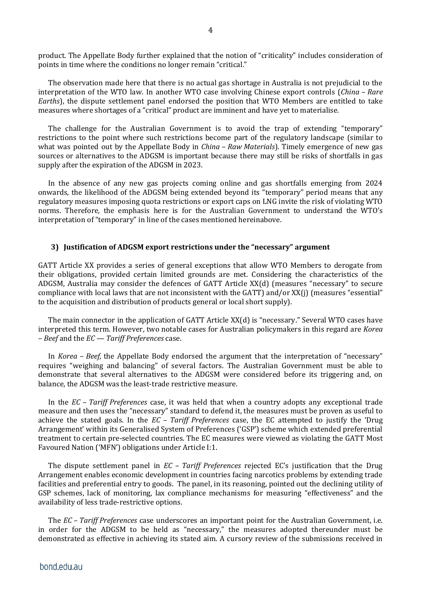product. The Appellate Body further explained that the notion of "criticality" includes consideration of points in time where the conditions no longer remain "critical."

The observation made here that there is no actual gas shortage in Australia is not prejudicial to the interpretation of the WTO law. In another WTO case involving Chinese export controls (*China – Rare Earths*), the dispute settlement panel endorsed the position that WTO Members are entitled to take measures where shortages of a "critical" product are imminent and have yet to materialise.

The challenge for the Australian Government is to avoid the trap of extending "temporary" restrictions to the point where such restrictions become part of the regulatory landscape (similar to what was pointed out by the Appellate Body in *China – Raw Materials*). Timely emergence of new gas sources or alternatives to the ADGSM is important because there may still be risks of shortfalls in gas supply after the expiration of the ADGSM in 2023.

In the absence of any new gas projects coming online and gas shortfalls emerging from 2024 onwards, the likelihood of the ADGSM being extended beyond its "temporary" period means that any regulatory measures imposing quota restrictions or export caps on LNG invite the risk of violating WTO norms. Therefore, the emphasis here is for the Australian Government to understand the WTO's interpretation of "temporary" in line of the cases mentioned hereinabove.

### **3) Justification of ADGSM export restrictions under the "necessary" argument**

GATT Article XX provides a series of general exceptions that allow WTO Members to derogate from their obligations, provided certain limited grounds are met. Considering the characteristics of the ADGSM, Australia may consider the defences of GATT Article XX(d) (measures "necessary" to secure compliance with local laws that are not inconsistent with the GATT) and/or XX(j) (measures "essential" to the acquisition and distribution of products general or local short supply).

The main connector in the application of GATT Article XX(d) is "necessary." Several WTO cases have interpreted this term. However, two notable cases for Australian policymakers in this regard are *Korea – Beef* and the *EC — Tariff Preferences* case.

In *Korea – Beef,* the Appellate Body endorsed the argument that the interpretation of "necessary" requires "weighing and balancing" of several factors. The Australian Government must be able to demonstrate that several alternatives to the ADGSM were considered before its triggering and, on balance, the ADGSM was the least-trade restrictive measure.

In the *EC – Tariff Preferences* case, it was held that when a country adopts any exceptional trade measure and then uses the "necessary" standard to defend it, the measures must be proven as useful to achieve the stated goals. In the *EC – Tariff Preferences* case, the EC attempted to justify the 'Drug Arrangement' within its Generalised System of Preferences ('GSP') scheme which extended preferential treatment to certain pre-selected countries. The EC measures were viewed as violating the GATT Most Favoured Nation ('MFN') obligations under Article I:1.

The dispute settlement panel in *EC – Tariff Preferences* rejected EC's justification that the Drug Arrangement enables economic development in countries facing narcotics problems by extending trade facilities and preferential entry to goods. The panel, in its reasoning, pointed out the declining utility of GSP schemes, lack of monitoring, lax compliance mechanisms for measuring "effectiveness" and the availability of less trade-restrictive options.

The *EC – Tariff Preferences* case underscores an important point for the Australian Government, i.e. in order for the ADGSM to be held as "necessary," the measures adopted thereunder must be demonstrated as effective in achieving its stated aim. A cursory review of the submissions received in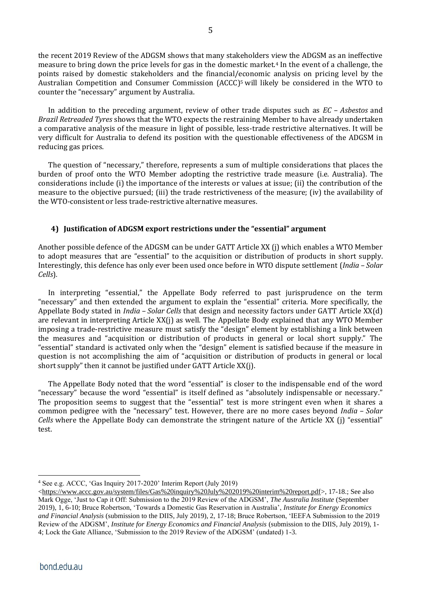the recent 2019 Review of the ADGSM shows that many stakeholders view the ADGSM as an ineffective measure to bring down the price levels for gas in the domestic market.<sup>4</sup> In the event of a challenge, the points raised by domestic stakeholders and the financial/economic analysis on pricing level by the Australian Competition and Consumer Commission (ACCC)<sup>5</sup> will likely be considered in the WTO to counter the "necessary" argument by Australia.

In addition to the preceding argument, review of other trade disputes such as *EC – Asbestos* and *Brazil Retreaded Tyres* shows that the WTO expects the restraining Member to have already undertaken a comparative analysis of the measure in light of possible, less-trade restrictive alternatives. It will be very difficult for Australia to defend its position with the questionable effectiveness of the ADGSM in reducing gas prices.

The question of "necessary," therefore, represents a sum of multiple considerations that places the burden of proof onto the WTO Member adopting the restrictive trade measure (i.e. Australia). The considerations include (i) the importance of the interests or values at issue; (ii) the contribution of the measure to the objective pursued; (iii) the trade restrictiveness of the measure; (iv) the availability of the WTO-consistent or less trade-restrictive alternative measures.

# **4) Justification of ADGSM export restrictions under the "essential" argument**

Another possible defence of the ADGSM can be under GATT Article XX (j) which enables a WTO Member to adopt measures that are "essential" to the acquisition or distribution of products in short supply. Interestingly, this defence has only ever been used once before in WTO dispute settlement (*India – Solar Cells*)*.*

In interpreting "essential," the Appellate Body referred to past jurisprudence on the term "necessary" and then extended the argument to explain the "essential" criteria. More specifically, the Appellate Body stated in *India – Solar Cells* that design and necessity factors under GATT Article XX(d) are relevant in interpreting Article XX(j) as well. The Appellate Body explained that any WTO Member imposing a trade-restrictive measure must satisfy the "design" element by establishing a link between the measures and "acquisition or distribution of products in general or local short supply." The "essential" standard is activated only when the "design" element is satisfied because if the measure in question is not accomplishing the aim of "acquisition or distribution of products in general or local short supply" then it cannot be justified under GATT Article XX(j).

The Appellate Body noted that the word "essential" is closer to the indispensable end of the word "necessary" because the word "essential" is itself defined as "absolutely indispensable or necessary." The proposition seems to suggest that the "essential" test is more stringent even when it shares a common pedigree with the "necessary" test. However, there are no more cases beyond *India – Solar Cells* where the Appellate Body can demonstrate the stringent nature of the Article XX (j) "essential" test.

<sup>4</sup> See e.g. ACCC, 'Gas Inquiry 2017-2020' Interim Report (July 2019)

[<sup>&</sup>lt;https://www.accc.gov.au/system/files/Gas%20inquiry%20July%202019%20interim%20report.pdf>](https://www.accc.gov.au/system/files/Gas%20inquiry%20July%202019%20interim%20report.pdf), 17-18.; See also Mark Ogge, 'Just to Cap it Off: Submission to the 2019 Review of the ADGSM', *The Australia Institute* (September 2019), 1, 6-10; Bruce Robertson, 'Towards a Domestic Gas Reservation in Australia', *Institute for Energy Economics and Financial Analysis* (submission to the DIIS, July 2019), 2, 17-18; Bruce Robertson, 'IEEFA Submission to the 2019 Review of the ADGSM', *Institute for Energy Economics and Financial Analysis* (submission to the DIIS, July 2019), 1- 4; Lock the Gate Alliance, 'Submission to the 2019 Review of the ADGSM' (undated) 1-3.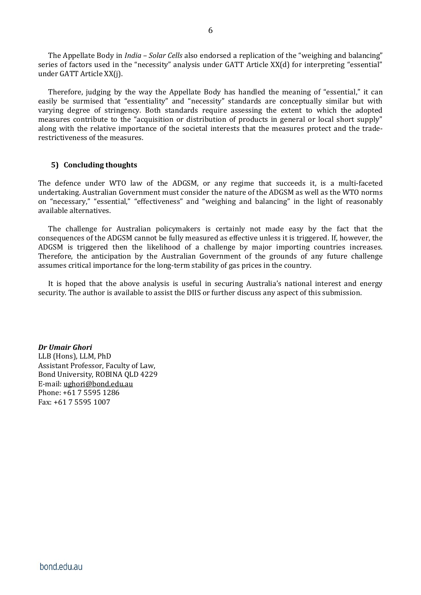The Appellate Body in *India – Solar Cells* also endorsed a replication of the "weighing and balancing" series of factors used in the "necessity" analysis under GATT Article XX(d) for interpreting "essential" under GATT Article XX(j).

Therefore, judging by the way the Appellate Body has handled the meaning of "essential," it can easily be surmised that "essentiality" and "necessity" standards are conceptually similar but with varying degree of stringency. Both standards require assessing the extent to which the adopted measures contribute to the "acquisition or distribution of products in general or local short supply" along with the relative importance of the societal interests that the measures protect and the traderestrictiveness of the measures.

# **5) Concluding thoughts**

The defence under WTO law of the ADGSM, or any regime that succeeds it, is a multi-faceted undertaking. Australian Government must consider the nature of the ADGSM as well as the WTO norms on "necessary," "essential," "effectiveness" and "weighing and balancing" in the light of reasonably available alternatives.

The challenge for Australian policymakers is certainly not made easy by the fact that the consequences of the ADGSM cannot be fully measured as effective unless it is triggered. If, however, the ADGSM is triggered then the likelihood of a challenge by major importing countries increases. Therefore, the anticipation by the Australian Government of the grounds of any future challenge assumes critical importance for the long-term stability of gas prices in the country.

It is hoped that the above analysis is useful in securing Australia's national interest and energy security. The author is available to assist the DIIS or further discuss any aspect of this submission.

*Dr Umair Ghori* LLB (Hons), LLM, PhD Assistant Professor, Faculty of Law, Bond University, ROBINA QLD 4229 E-mail: [ughori@bond.edu.au](mailto:ughori@bond.edu.au) Phone: +61 7 5595 1286 Fax: +61 7 5595 1007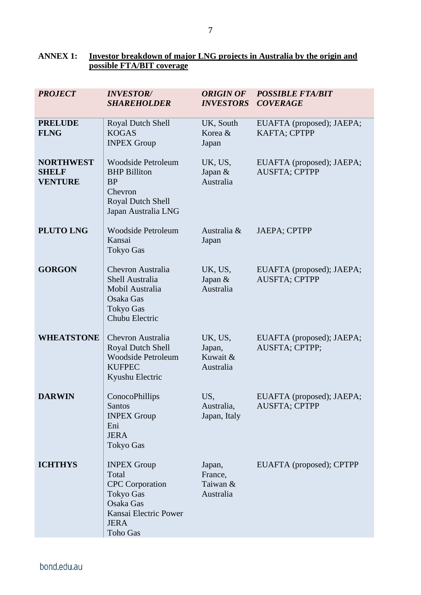# **ANNEX 1: Investor breakdown of major LNG projects in Australia by the origin and possible FTA/BIT coverage**

| <b>PROJECT</b>                                     | <b>INVESTOR/</b><br><b>SHAREHOLDER</b>                                                                                                     | <b>ORIGIN OF</b><br><b>INVESTORS</b>       | <b>POSSIBLE FTA/BIT</b><br><b>COVERAGE</b>        |
|----------------------------------------------------|--------------------------------------------------------------------------------------------------------------------------------------------|--------------------------------------------|---------------------------------------------------|
| <b>PRELUDE</b><br><b>FLNG</b>                      | Royal Dutch Shell<br><b>KOGAS</b><br><b>INPEX Group</b>                                                                                    | UK, South<br>Korea &<br>Japan              | EUAFTA (proposed); JAEPA;<br>KAFTA; CPTPP         |
| <b>NORTHWEST</b><br><b>SHELF</b><br><b>VENTURE</b> | <b>Woodside Petroleum</b><br><b>BHP Billiton</b><br><b>BP</b><br>Chevron<br><b>Royal Dutch Shell</b><br>Japan Australia LNG                | UK, US,<br>Japan &<br>Australia            | EUAFTA (proposed); JAEPA;<br><b>AUSFTA; CPTPP</b> |
| <b>PLUTO LNG</b>                                   | <b>Woodside Petroleum</b><br>Kansai<br><b>Tokyo Gas</b>                                                                                    | Australia &<br>Japan                       | <b>JAEPA; CPTPP</b>                               |
| <b>GORGON</b>                                      | Chevron Australia<br><b>Shell Australia</b><br>Mobil Australia<br>Osaka Gas<br><b>Tokyo Gas</b><br>Chubu Electric                          | UK, US,<br>Japan &<br>Australia            | EUAFTA (proposed); JAEPA;<br><b>AUSFTA; CPTPP</b> |
| <b>WHEATSTONE</b>                                  | Chevron Australia<br>Royal Dutch Shell<br><b>Woodside Petroleum</b><br><b>KUFPEC</b><br>Kyushu Electric                                    | UK, US,<br>Japan,<br>Kuwait &<br>Australia | EUAFTA (proposed); JAEPA;<br>AUSFTA; CPTPP;       |
| <b>DARWIN</b>                                      | ConocoPhillips<br><b>Santos</b><br><b>INPEX Group</b><br>Eni<br><b>JERA</b><br><b>Tokyo Gas</b>                                            | US,<br>Australia,<br>Japan, Italy          | EUAFTA (proposed); JAEPA;<br><b>AUSFTA; CPTPP</b> |
| <b>ICHTHYS</b>                                     | <b>INPEX Group</b><br>Total<br><b>CPC</b> Corporation<br><b>Tokyo Gas</b><br>Osaka Gas<br>Kansai Electric Power<br><b>JERA</b><br>Toho Gas | Japan,<br>France,<br>Taiwan &<br>Australia | EUAFTA (proposed); CPTPP                          |